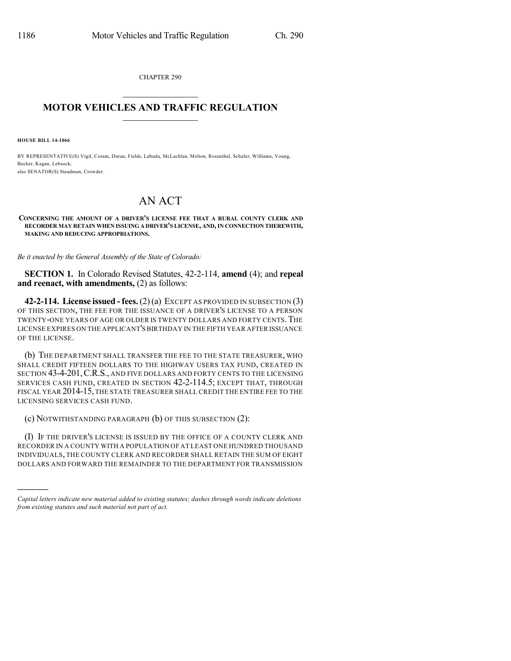CHAPTER 290  $\mathcal{L}_\text{max}$  . The set of the set of the set of the set of the set of the set of the set of the set of the set of the set of the set of the set of the set of the set of the set of the set of the set of the set of the set

## **MOTOR VEHICLES AND TRAFFIC REGULATION**  $\frac{1}{2}$  ,  $\frac{1}{2}$  ,  $\frac{1}{2}$  ,  $\frac{1}{2}$  ,  $\frac{1}{2}$  ,  $\frac{1}{2}$  ,  $\frac{1}{2}$

**HOUSE BILL 14-1066**

)))))

BY REPRESENTATIVE(S) Vigil, Coram, Duran, Fields, Labuda, McLachlan, Melton, Rosenthal, Schafer, Williams, Young, Becker, Kagan, Lebsock; also SENATOR(S) Steadman, Crowder.

## AN ACT

**CONCERNING THE AMOUNT OF A DRIVER'S LICENSE FEE THAT A RURAL COUNTY CLERK AND RECORDER MAY RETAIN WHEN ISSUING A DRIVER'S LICENSE, AND,IN CONNECTION THEREWITH, MAKING AND REDUCING APPROPRIATIONS.**

*Be it enacted by the General Assembly of the State of Colorado:*

**SECTION 1.** In Colorado Revised Statutes, 42-2-114, **amend** (4); and **repeal and reenact, with amendments,** (2) as follows:

**42-2-114. License issued - fees.**(2)(a) EXCEPT AS PROVIDED IN SUBSECTION (3) OF THIS SECTION, THE FEE FOR THE ISSUANCE OF A DRIVER'S LICENSE TO A PERSON TWENTY-ONE YEARS OF AGE OR OLDER IS TWENTY DOLLARS AND FORTY CENTS. THE LICENSE EXPIRES ON THE APPLICANT'S BIRTHDAY IN THE FIFTH YEAR AFTER ISSUANCE OF THE LICENSE.

(b) THE DEPARTMENT SHALL TRANSFER THE FEE TO THE STATE TREASURER, WHO SHALL CREDIT FIFTEEN DOLLARS TO THE HIGHWAY USERS TAX FUND, CREATED IN SECTION 43-4-201,C.R.S., AND FIVE DOLLARS AND FORTY CENTS TO THE LICENSING SERVICES CASH FUND, CREATED IN SECTION 42-2-114.5; EXCEPT THAT, THROUGH FISCAL YEAR 2014-15,THE STATE TREASURER SHALL CREDIT THE ENTIRE FEE TO THE LICENSING SERVICES CASH FUND.

(c) NOTWITHSTANDING PARAGRAPH (b) OF THIS SUBSECTION (2):

(I) IF THE DRIVER'S LICENSE IS ISSUED BY THE OFFICE OF A COUNTY CLERK AND RECORDER IN A COUNTY WITH A POPULATION OF AT LEAST ONE HUNDRED THOUSAND INDIVIDUALS, THE COUNTY CLERK AND RECORDER SHALL RETAIN THE SUM OF EIGHT DOLLARS AND FORWARD THE REMAINDER TO THE DEPARTMENT FOR TRANSMISSION

*Capital letters indicate new material added to existing statutes; dashes through words indicate deletions from existing statutes and such material not part of act.*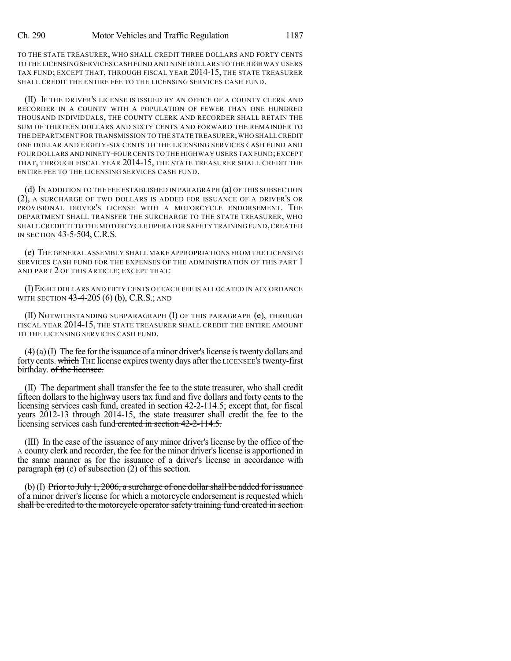TO THE STATE TREASURER, WHO SHALL CREDIT THREE DOLLARS AND FORTY CENTS TO THE LICENSING SERVICES CASH FUND AND NINE DOLLARS TO THE HIGHWAY USERS TAX FUND; EXCEPT THAT, THROUGH FISCAL YEAR 2014-15, THE STATE TREASURER SHALL CREDIT THE ENTIRE FEE TO THE LICENSING SERVICES CASH FUND.

(II) IF THE DRIVER'S LICENSE IS ISSUED BY AN OFFICE OF A COUNTY CLERK AND RECORDER IN A COUNTY WITH A POPULATION OF FEWER THAN ONE HUNDRED THOUSAND INDIVIDUALS, THE COUNTY CLERK AND RECORDER SHALL RETAIN THE SUM OF THIRTEEN DOLLARS AND SIXTY CENTS AND FORWARD THE REMAINDER TO THE DEPARTMENT FOR TRANSMISSION TO THE STATE TREASURER,WHO SHALL CREDIT ONE DOLLAR AND EIGHTY-SIX CENTS TO THE LICENSING SERVICES CASH FUND AND FOUR DOLLARS AND NINETY-FOUR CENTS TO THE HIGHWAY USERS TAX FUND;EXCEPT THAT, THROUGH FISCAL YEAR 2014-15, THE STATE TREASURER SHALL CREDIT THE ENTIRE FEE TO THE LICENSING SERVICES CASH FUND.

(d) IN ADDITION TO THE FEE ESTABLISHED IN PARAGRAPH (a) OF THIS SUBSECTION (2), A SURCHARGE OF TWO DOLLARS IS ADDED FOR ISSUANCE OF A DRIVER'S OR PROVISIONAL DRIVER'S LICENSE WITH A MOTORCYCLE ENDORSEMENT. THE DEPARTMENT SHALL TRANSFER THE SURCHARGE TO THE STATE TREASURER, WHO SHALL CREDIT IT TO THE MOTORCYCLE OPERATOR SAFETY TRAINING FUND, CREATED IN SECTION 43-5-504, C.R.S.

(e) THE GENERAL ASSEMBLY SHALL MAKE APPROPRIATIONS FROM THE LICENSING SERVICES CASH FUND FOR THE EXPENSES OF THE ADMINISTRATION OF THIS PART 1 AND PART 2 OF THIS ARTICLE; EXCEPT THAT:

(I)EIGHT DOLLARS AND FIFTY CENTS OF EACH FEE IS ALLOCATED IN ACCORDANCE WITH SECTION 43-4-205 (6) (b), C.R.S.; AND

(II) NOTWITHSTANDING SUBPARAGRAPH (I) OF THIS PARAGRAPH (e), THROUGH FISCAL YEAR 2014-15, THE STATE TREASURER SHALL CREDIT THE ENTIRE AMOUNT TO THE LICENSING SERVICES CASH FUND.

 $(4)(a)(I)$  The fee for the issuance of a minor driver's license is twenty dollars and forty cents. which THE license expires twenty days after the LICENSEE's twenty-first birthday. of the licensee.

(II) The department shall transfer the fee to the state treasurer, who shall credit fifteen dollars to the highway users tax fund and five dollars and forty cents to the licensing services cash fund, created in section 42-2-114.5; except that, for fiscal years 2012-13 through 2014-15, the state treasurer shall credit the fee to the licensing services cash fund created in section 42-2-114.5.

(III) In the case of the issuance of any minor driver's license by the office of the A county clerk and recorder, the fee for the minor driver's license is apportioned in the same manner as for the issuance of a driver's license in accordance with paragraph  $(a)$  (c) of subsection (2) of this section.

(b)(I) Prior to July 1, 2006, a surcharge of one dollar shall be added for issuance of a minor driver's license for which a motorcycle endorsement is requested which shall be credited to the motorcycle operator safety training fund created in section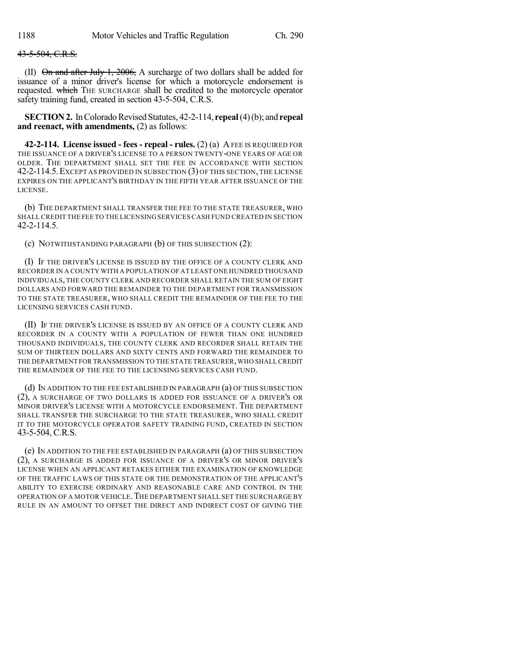## 43-5-504, C.R.S.

(II)  $\Theta$ n and after July 1, 2006, A surcharge of two dollars shall be added for issuance of a minor driver's license for which a motorcycle endorsement is requested. which THE SURCHARGE shall be credited to the motorcycle operator safety training fund, created in section 43-5-504, C.R.S.

**SECTION 2.** In Colorado Revised Statutes, 42-2-114, **repeal** (4)(b); and **repeal and reenact, with amendments,** (2) as follows:

**42-2-114. License issued - fees - repeal - rules.** (2) (a) AFEE IS REQUIRED FOR THE ISSUANCE OF A DRIVER'S LICENSE TO A PERSON TWENTY-ONE YEARS OF AGE OR OLDER. THE DEPARTMENT SHALL SET THE FEE IN ACCORDANCE WITH SECTION 42-2-114.5.EXCEPT AS PROVIDED IN SUBSECTION (3) OF THIS SECTION, THE LICENSE EXPIRES ON THE APPLICANT'S BIRTHDAY IN THE FIFTH YEAR AFTER ISSUANCE OF THE LICENSE.

(b) THE DEPARTMENT SHALL TRANSFER THE FEE TO THE STATE TREASURER, WHO SHALL CREDIT THE FEE TO THE LICENSING SERVICES CASH FUND CREATED IN SECTION 42-2-114.5.

(c) NOTWITHSTANDING PARAGRAPH (b) OF THIS SUBSECTION (2):

(I) IF THE DRIVER'S LICENSE IS ISSUED BY THE OFFICE OF A COUNTY CLERK AND RECORDER IN A COUNTY WITH A POPULATION OF AT LEAST ONE HUNDRED THOUSAND INDIVIDUALS, THE COUNTY CLERK AND RECORDER SHALL RETAIN THE SUM OF EIGHT DOLLARS AND FORWARD THE REMAINDER TO THE DEPARTMENT FOR TRANSMISSION TO THE STATE TREASURER, WHO SHALL CREDIT THE REMAINDER OF THE FEE TO THE LICENSING SERVICES CASH FUND.

(II) IF THE DRIVER'S LICENSE IS ISSUED BY AN OFFICE OF A COUNTY CLERK AND RECORDER IN A COUNTY WITH A POPULATION OF FEWER THAN ONE HUNDRED THOUSAND INDIVIDUALS, THE COUNTY CLERK AND RECORDER SHALL RETAIN THE SUM OF THIRTEEN DOLLARS AND SIXTY CENTS AND FORWARD THE REMAINDER TO THE DEPARTMENT FOR TRANSMISSION TO THE STATE TREASURER, WHO SHALL CREDIT THE REMAINDER OF THE FEE TO THE LICENSING SERVICES CASH FUND.

(d) IN ADDITION TO THE FEE ESTABLISHED IN PARAGRAPH (a) OF THIS SUBSECTION (2), A SURCHARGE OF TWO DOLLARS IS ADDED FOR ISSUANCE OF A DRIVER'S OR MINOR DRIVER'S LICENSE WITH A MOTORCYCLE ENDORSEMENT. THE DEPARTMENT SHALL TRANSFER THE SURCHARGE TO THE STATE TREASURER, WHO SHALL CREDIT IT TO THE MOTORCYCLE OPERATOR SAFETY TRAINING FUND, CREATED IN SECTION 43-5-504, C.R.S.

(e) IN ADDITION TO THE FEE ESTABLISHED IN PARAGRAPH (a) OF THIS SUBSECTION (2), A SURCHARGE IS ADDED FOR ISSUANCE OF A DRIVER'S OR MINOR DRIVER'S LICENSE WHEN AN APPLICANT RETAKES EITHER THE EXAMINATION OF KNOWLEDGE OF THE TRAFFIC LAWS OF THIS STATE OR THE DEMONSTRATION OF THE APPLICANT'S ABILITY TO EXERCISE ORDINARY AND REASONABLE CARE AND CONTROL IN THE OPERATION OF A MOTOR VEHICLE.THE DEPARTMENT SHALL SET THE SURCHARGE BY RULE IN AN AMOUNT TO OFFSET THE DIRECT AND INDIRECT COST OF GIVING THE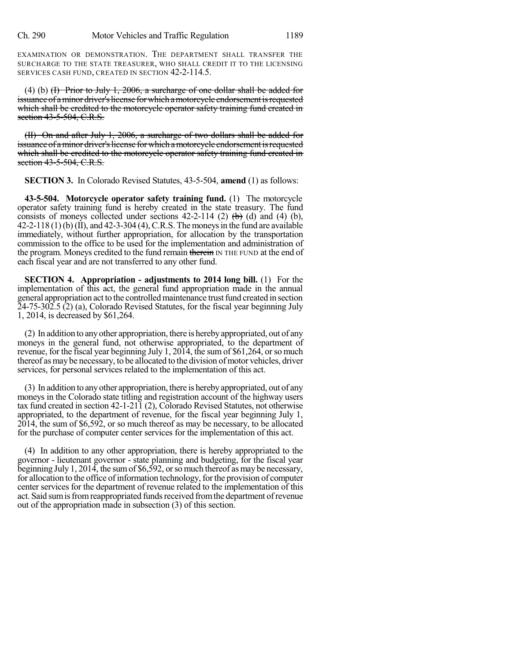EXAMINATION OR DEMONSTRATION. THE DEPARTMENT SHALL TRANSFER THE SURCHARGE TO THE STATE TREASURER, WHO SHALL CREDIT IT TO THE LICENSING SERVICES CASH FUND, CREATED IN SECTION 42-2-114.5.

(4) (b)  $(H)$  Prior to July 1, 2006, a surcharge of one dollar shall be added for issuance of a minor driver's license for which a motorcycle endorsement is requested which shall be credited to the motorcycle operator safety training fund created in section 43-5-504, C.R.S.

(II) On and after July 1, 2006, a surcharge of two dollars shall be added for issuance of a minor driver's license for which a motorcycle endorsement is requested which shall be credited to the motorcycle operator safety training fund created in section 43-5-504, C.R.S.

**SECTION 3.** In Colorado Revised Statutes, 43-5-504, **amend** (1) as follows:

**43-5-504. Motorcycle operator safety training fund.** (1) The motorcycle operator safety training fund is hereby created in the state treasury. The fund consists of moneys collected under sections  $42-2-114$  (2)  $(\theta)$  (d) and (4) (b), 42-2-118 (1)(b)(II), and 42-3-304 (4), C.R.S. The moneys in the fund are available immediately, without further appropriation, for allocation by the transportation commission to the office to be used for the implementation and administration of the program. Moneys credited to the fund remain therein IN THE FUND at the end of each fiscal year and are not transferred to any other fund.

**SECTION 4. Appropriation - adjustments to 2014 long bill.** (1) For the implementation of this act, the general fund appropriation made in the annual general appropriation act to the controlled maintenance trust fund created in section 24-75-302.5 (2) (a), Colorado Revised Statutes, for the fiscal year beginning July 1, 2014, is decreased by \$61,264.

(2) In addition to anyother appropriation, there is herebyappropriated, out of any moneys in the general fund, not otherwise appropriated, to the department of revenue, for the fiscal year beginning July 1, 2014, the sum of \$61,264, or so much thereof as may be necessary, to be allocated to the division ofmotor vehicles, driver services, for personal services related to the implementation of this act.

(3) In addition to anyother appropriation, there is herebyappropriated, out of any moneys in the Colorado state titling and registration account of the highway users tax fund created in section 42-1-211 (2), Colorado Revised Statutes, not otherwise appropriated, to the department of revenue, for the fiscal year beginning July 1, 2014, the sum of \$6,592, or so much thereof as may be necessary, to be allocated for the purchase of computer center services for the implementation of this act.

(4) In addition to any other appropriation, there is hereby appropriated to the governor - lieutenant governor - state planning and budgeting, for the fiscal year beginning July 1, 2014, the sumof \$6,592, orso much thereof asmay be necessary, for allocation to the office of information technology, for the provision of computer center services for the department of revenue related to the implementation of this act. Said sum is from reappropriated funds received from the department of revenue out of the appropriation made in subsection (3) of this section.